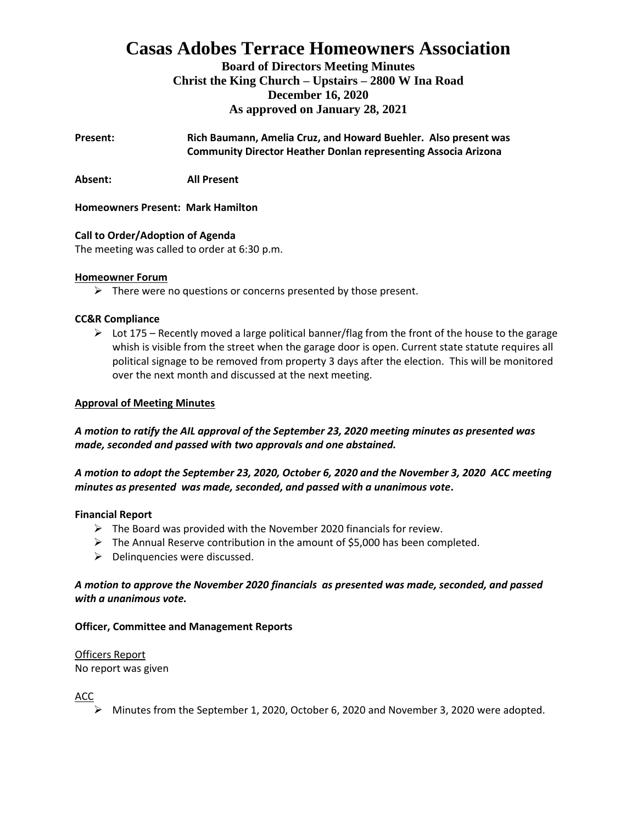# **Casas Adobes Terrace Homeowners Association**

**Board of Directors Meeting Minutes Christ the King Church – Upstairs – 2800 W Ina Road December 16, 2020 As approved on January 28, 2021**

**Present: Rich Baumann, Amelia Cruz, and Howard Buehler. Also present was Community Director Heather Donlan representing Associa Arizona**

**Absent: All Present**

## **Homeowners Present: Mark Hamilton**

## **Call to Order/Adoption of Agenda**

The meeting was called to order at 6:30 p.m.

## **Homeowner Forum**

 $\triangleright$  There were no questions or concerns presented by those present.

## **CC&R Compliance**

 $\triangleright$  Lot 175 – Recently moved a large political banner/flag from the front of the house to the garage whish is visible from the street when the garage door is open. Current state statute requires all political signage to be removed from property 3 days after the election. This will be monitored over the next month and discussed at the next meeting.

## **Approval of Meeting Minutes**

## *A motion to ratify the AIL approval of the September 23, 2020 meeting minutes as presented was made, seconded and passed with two approvals and one abstained.*

## *A motion to adopt the September 23, 2020, October 6, 2020 and the November 3, 2020 ACC meeting minutes as presented was made, seconded, and passed with a unanimous vote***.**

## **Financial Report**

- $\triangleright$  The Board was provided with the November 2020 financials for review.
- ➢ The Annual Reserve contribution in the amount of \$5,000 has been completed.
- $\triangleright$  Delinquencies were discussed.

## *A motion to approve the November 2020 financials as presented was made, seconded, and passed with a unanimous vote.*

## **Officer, Committee and Management Reports**

Officers Report No report was given

ACC

➢ Minutes from the September 1, 2020, October 6, 2020 and November 3, 2020 were adopted.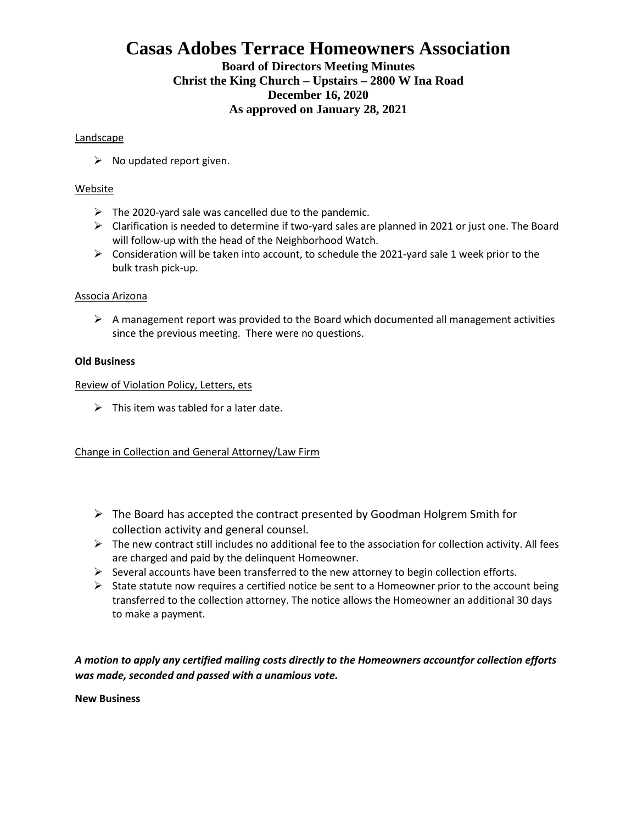## **Casas Adobes Terrace Homeowners Association**

## **Board of Directors Meeting Minutes Christ the King Church – Upstairs – 2800 W Ina Road December 16, 2020 As approved on January 28, 2021**

## **Landscape**

 $\triangleright$  No updated report given.

## Website

- $\triangleright$  The 2020-yard sale was cancelled due to the pandemic.
- $\triangleright$  Clarification is needed to determine if two-yard sales are planned in 2021 or just one. The Board will follow-up with the head of the Neighborhood Watch.
- $\triangleright$  Consideration will be taken into account, to schedule the 2021-yard sale 1 week prior to the bulk trash pick-up.

#### Associa Arizona

 $\triangleright$  A management report was provided to the Board which documented all management activities since the previous meeting. There were no questions.

#### **Old Business**

Review of Violation Policy, Letters, ets

 $\triangleright$  This item was tabled for a later date.

Change in Collection and General Attorney/Law Firm

- ➢ The Board has accepted the contract presented by Goodman Holgrem Smith for collection activity and general counsel.
- ➢ The new contract still includes no additional fee to the association for collection activity. All fees are charged and paid by the delinquent Homeowner.
- $\triangleright$  Several accounts have been transferred to the new attorney to begin collection efforts.
- $\triangleright$  State statute now requires a certified notice be sent to a Homeowner prior to the account being transferred to the collection attorney. The notice allows the Homeowner an additional 30 days to make a payment.

*A motion to apply any certified mailing costs directly to the Homeowners accountfor collection efforts was made, seconded and passed with a unamious vote.* 

**New Business**